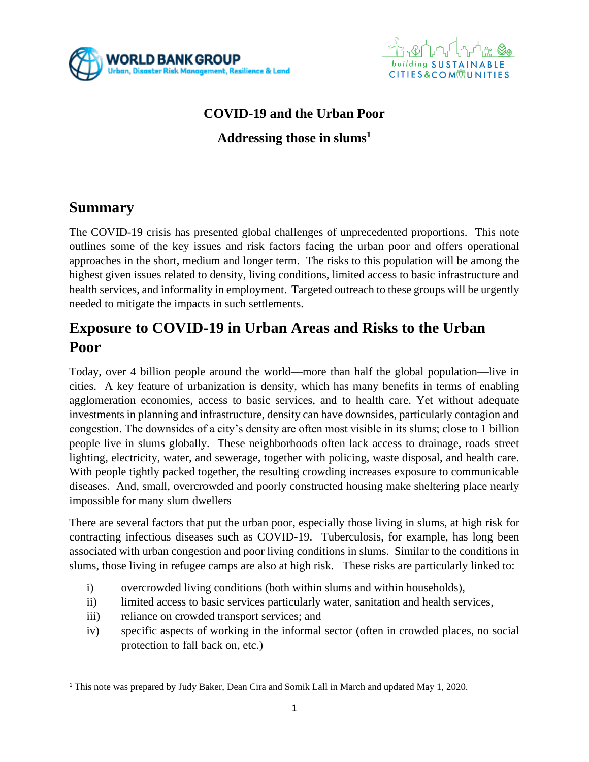



### **COVID-19 and the Urban Poor**

**Addressing those in slums<sup>1</sup>**

## **Summary**

The COVID-19 crisis has presented global challenges of unprecedented proportions. This note outlines some of the key issues and risk factors facing the urban poor and offers operational approaches in the short, medium and longer term. The risks to this population will be among the highest given issues related to density, living conditions, limited access to basic infrastructure and health services, and informality in employment. Targeted outreach to these groups will be urgently needed to mitigate the impacts in such settlements.

# **Exposure to COVID-19 in Urban Areas and Risks to the Urban Poor**

Today, over 4 billion people around the world—more than half the global population—live in cities. A key feature of urbanization is density, which has many benefits in terms of enabling agglomeration economies, access to basic services, and to health care. Yet without adequate investments in planning and infrastructure, density can have downsides, particularly contagion and congestion. The downsides of a city's density are often most visible in its slums; close to 1 billion people live in slums globally. These neighborhoods often lack access to drainage, roads street lighting, electricity, water, and sewerage, together with policing, waste disposal, and health care. With people tightly packed together, the resulting crowding increases exposure to communicable diseases. And, small, overcrowded and poorly constructed housing make sheltering place nearly impossible for many slum dwellers

There are several factors that put the urban poor, especially those living in slums, at high risk for contracting infectious diseases such as COVID-19. Tuberculosis, for example, has long been associated with urban congestion and poor living conditions in slums. Similar to the conditions in slums, those living in refugee camps are also at high risk. These risks are particularly linked to:

- i) overcrowded living conditions (both within slums and within households),
- ii) limited access to basic services particularly water, sanitation and health services,
- iii) reliance on crowded transport services; and
- iv) specific aspects of working in the informal sector (often in crowded places, no social protection to fall back on, etc.)

<sup>1</sup> This note was prepared by Judy Baker, Dean Cira and Somik Lall in March and updated May 1, 2020.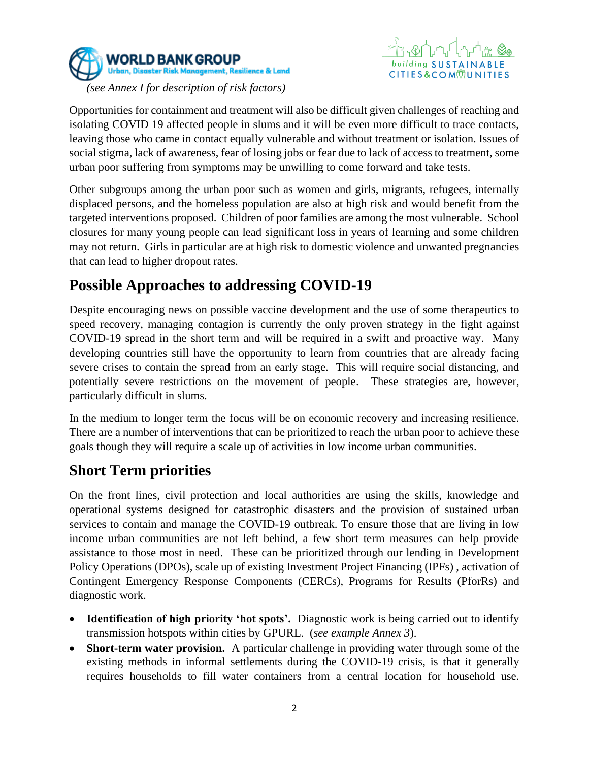



Opportunities for containment and treatment will also be difficult given challenges of reaching and isolating COVID 19 affected people in slums and it will be even more difficult to trace contacts, leaving those who came in contact equally vulnerable and without treatment or isolation. Issues of social stigma, lack of awareness, fear of losing jobs or fear due to lack of access to treatment, some urban poor suffering from symptoms may be unwilling to come forward and take tests.

Other subgroups among the urban poor such as women and girls, migrants, refugees, internally displaced persons, and the homeless population are also at high risk and would benefit from the targeted interventions proposed. Children of poor families are among the most vulnerable. School closures for many young people can lead significant loss in years of learning and some children may not return. Girls in particular are at high risk to domestic violence and unwanted pregnancies that can lead to higher dropout rates.

# **Possible Approaches to addressing COVID-19**

Despite encouraging news on possible vaccine development and the use of some therapeutics to speed recovery, managing contagion is currently the only proven strategy in the fight against COVID-19 spread in the short term and will be required in a swift and proactive way. Many developing countries still have the opportunity to learn from countries that are already facing severe crises to contain the spread from an early stage. This will require social distancing, and potentially severe restrictions on the movement of people. These strategies are, however, particularly difficult in slums.

In the medium to longer term the focus will be on economic recovery and increasing resilience. There are a number of interventions that can be prioritized to reach the urban poor to achieve these goals though they will require a scale up of activities in low income urban communities.

# **Short Term priorities**

On the front lines, civil protection and local authorities are using the skills, knowledge and operational systems designed for catastrophic disasters and the provision of sustained urban services to contain and manage the COVID-19 outbreak. To ensure those that are living in low income urban communities are not left behind, a few short term measures can help provide assistance to those most in need. These can be prioritized through our lending in Development Policy Operations (DPOs), scale up of existing Investment Project Financing (IPFs) , activation of Contingent Emergency Response Components (CERCs), Programs for Results (PforRs) and diagnostic work.

- **Identification of high priority 'hot spots'.** Diagnostic work is being carried out to identify transmission hotspots within cities by GPURL. (*see example Annex 3*).
- **Short-term water provision.** A particular challenge in providing water through some of the existing methods in informal settlements during the COVID-19 crisis, is that it generally requires households to fill water containers from a central location for household use.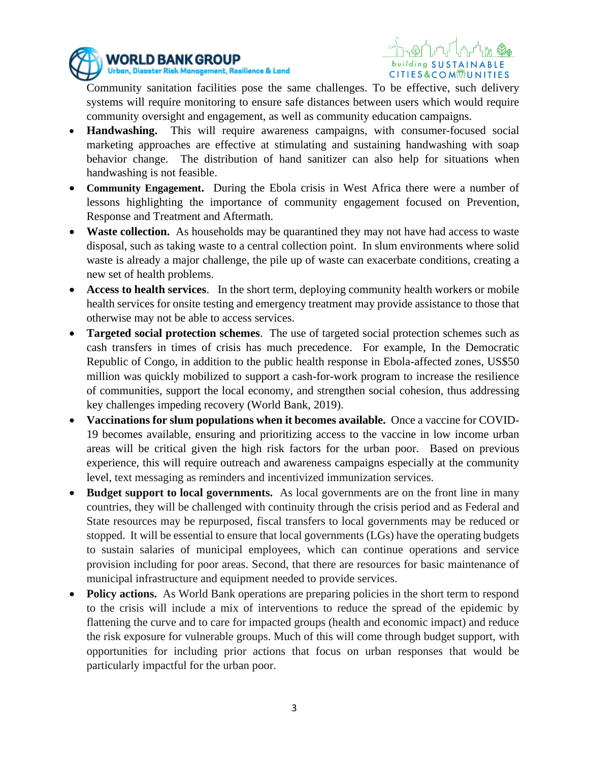



Community sanitation facilities pose the same challenges. To be effective, such delivery systems will require monitoring to ensure safe distances between users which would require community oversight and engagement, as well as community education campaigns.

- **Handwashing.** This will require awareness campaigns, with consumer-focused social marketing approaches are effective at stimulating and sustaining handwashing with soap behavior change. The distribution of hand sanitizer can also help for situations when handwashing is not feasible.
- **Community Engagement.** During the Ebola crisis in West Africa there were a number of lessons highlighting the importance of community engagement focused on Prevention, Response and Treatment and Aftermath.
- **Waste collection.** As households may be quarantined they may not have had access to waste disposal, such as taking waste to a central collection point. In slum environments where solid waste is already a major challenge, the pile up of waste can exacerbate conditions, creating a new set of health problems.
- **Access to health services**. In the short term, deploying community health workers or mobile health services for onsite testing and emergency treatment may provide assistance to those that otherwise may not be able to access services.
- **Targeted social protection schemes**. The use of targeted social protection schemes such as cash transfers in times of crisis has much precedence. For example, In the Democratic Republic of Congo, in addition to the public health response in Ebola-affected zones, US\$50 million was quickly mobilized to support a cash-for-work program to increase the resilience of communities, support the local economy, and strengthen social cohesion, thus addressing key challenges impeding recovery (World Bank, 2019).
- **Vaccinations for slum populations when it becomes available.** Once a vaccine for COVID-19 becomes available, ensuring and prioritizing access to the vaccine in low income urban areas will be critical given the high risk factors for the urban poor. Based on previous experience, this will require outreach and awareness campaigns especially at the community level, text messaging as reminders and incentivized immunization services.
- **Budget support to local governments.** As local governments are on the front line in many countries, they will be challenged with continuity through the crisis period and as Federal and State resources may be repurposed, fiscal transfers to local governments may be reduced or stopped. It will be essential to ensure that local governments (LGs) have the operating budgets to sustain salaries of municipal employees, which can continue operations and service provision including for poor areas. Second, that there are resources for basic maintenance of municipal infrastructure and equipment needed to provide services.
- **Policy actions.** As World Bank operations are preparing policies in the short term to respond to the crisis will include a mix of interventions to reduce the spread of the epidemic by flattening the curve and to care for impacted groups (health and economic impact) and reduce the risk exposure for vulnerable groups. Much of this will come through budget support, with opportunities for including prior actions that focus on urban responses that would be particularly impactful for the urban poor.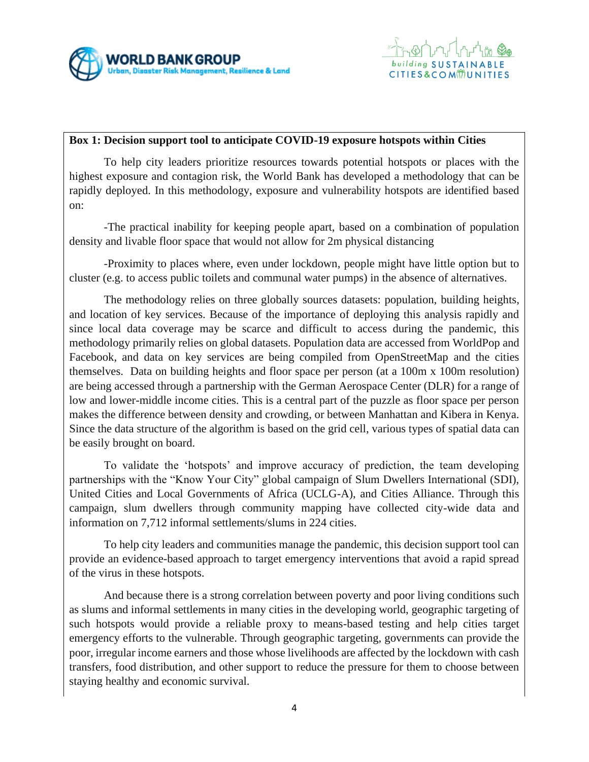



#### **Box 1: Decision support tool to anticipate COVID-19 exposure hotspots within Cities**

To help city leaders prioritize resources towards potential hotspots or places with the highest exposure and contagion risk, the World Bank has developed a methodology that can be rapidly deployed. In this methodology, exposure and vulnerability hotspots are identified based on:

-The practical inability for keeping people apart, based on a combination of population density and livable floor space that would not allow for 2m physical distancing

-Proximity to places where, even under lockdown, people might have little option but to cluster (e.g. to access public toilets and communal water pumps) in the absence of alternatives.

The methodology relies on three globally sources datasets: population, building heights, and location of key services. Because of the importance of deploying this analysis rapidly and since local data coverage may be scarce and difficult to access during the pandemic, this methodology primarily relies on global datasets. Population data are accessed from WorldPop and Facebook, and data on key services are being compiled from OpenStreetMap and the cities themselves. Data on building heights and floor space per person (at a 100m x 100m resolution) are being accessed through a partnership with the German Aerospace Center (DLR) for a range of low and lower-middle income cities. This is a central part of the puzzle as floor space per person makes the difference between density and crowding, or between Manhattan and Kibera in Kenya. Since the data structure of the algorithm is based on the grid cell, various types of spatial data can be easily brought on board.

To validate the 'hotspots' and improve accuracy of prediction, the team developing partnerships with the "Know Your City" global campaign of Slum Dwellers International (SDI), United Cities and Local Governments of Africa (UCLG-A), and Cities Alliance. Through this campaign, slum dwellers through community mapping have collected city-wide data and information on 7,712 informal settlements/slums in 224 cities.

To help city leaders and communities manage the pandemic, this decision support tool can provide an evidence-based approach to target emergency interventions that avoid a rapid spread of the virus in these hotspots.

And because there is a strong correlation between poverty and poor living conditions such as slums and informal settlements in many cities in the developing world, geographic targeting of such hotspots would provide a reliable proxy to means-based testing and help cities target emergency efforts to the vulnerable. Through geographic targeting, governments can provide the poor, irregular income earners and those whose livelihoods are affected by the lockdown with cash transfers, food distribution, and other support to reduce the pressure for them to choose between staying healthy and economic survival.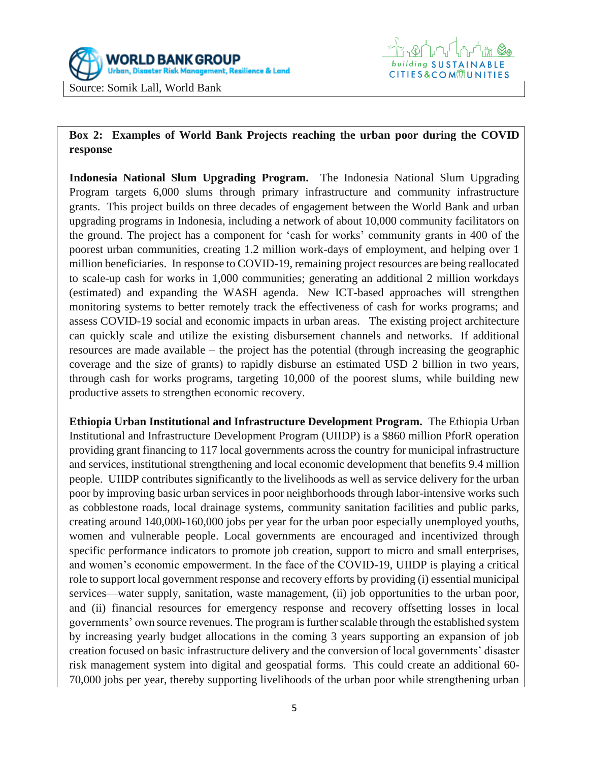

#### **Box 2: Examples of World Bank Projects reaching the urban poor during the COVID response**

**Indonesia National Slum Upgrading Program.** The Indonesia National Slum Upgrading Program targets 6,000 slums through primary infrastructure and community infrastructure grants. This project builds on three decades of engagement between the World Bank and urban upgrading programs in Indonesia, including a network of about 10,000 community facilitators on the ground. The project has a component for 'cash for works' community grants in 400 of the poorest urban communities, creating 1.2 million work-days of employment, and helping over 1 million beneficiaries. In response to COVID-19, remaining project resources are being reallocated to scale-up cash for works in 1,000 communities; generating an additional 2 million workdays (estimated) and expanding the WASH agenda. New ICT-based approaches will strengthen monitoring systems to better remotely track the effectiveness of cash for works programs; and assess COVID-19 social and economic impacts in urban areas. The existing project architecture can quickly scale and utilize the existing disbursement channels and networks. If additional resources are made available – the project has the potential (through increasing the geographic coverage and the size of grants) to rapidly disburse an estimated USD 2 billion in two years, through cash for works programs, targeting 10,000 of the poorest slums, while building new productive assets to strengthen economic recovery.

**Ethiopia Urban Institutional and Infrastructure Development Program.** The Ethiopia Urban Institutional and Infrastructure Development Program (UIIDP) is a \$860 million PforR operation providing grant financing to 117 local governments across the country for municipal infrastructure and services, institutional strengthening and local economic development that benefits 9.4 million people. UIIDP contributes significantly to the livelihoods as well as service delivery for the urban poor by improving basic urban services in poor neighborhoods through labor-intensive works such as cobblestone roads, local drainage systems, community sanitation facilities and public parks, creating around 140,000-160,000 jobs per year for the urban poor especially unemployed youths, women and vulnerable people. Local governments are encouraged and incentivized through specific performance indicators to promote job creation, support to micro and small enterprises, and women's economic empowerment. In the face of the COVID-19, UIIDP is playing a critical role to support local government response and recovery efforts by providing (i) essential municipal services—water supply, sanitation, waste management, (ii) job opportunities to the urban poor, and (ii) financial resources for emergency response and recovery offsetting losses in local governments' own source revenues. The program is further scalable through the established system by increasing yearly budget allocations in the coming 3 years supporting an expansion of job creation focused on basic infrastructure delivery and the conversion of local governments' disaster risk management system into digital and geospatial forms. This could create an additional 60- 70,000 jobs per year, thereby supporting livelihoods of the urban poor while strengthening urban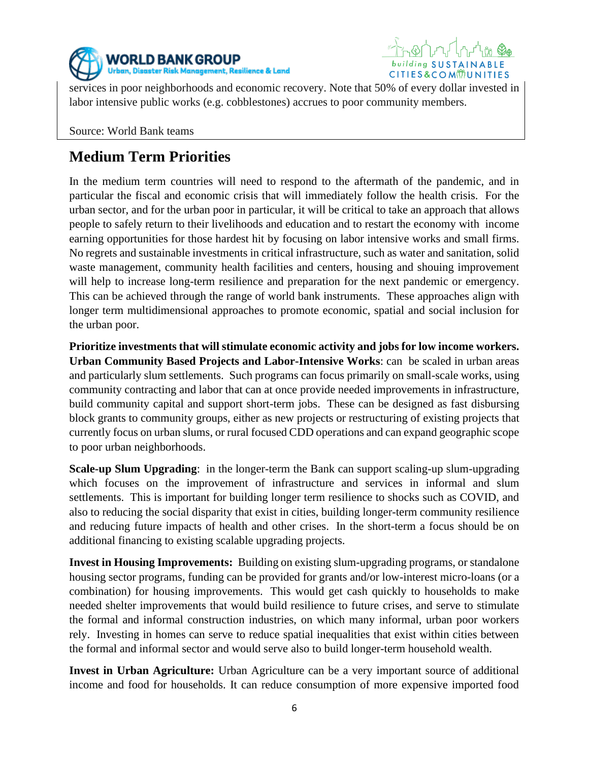



services in poor neighborhoods and economic recovery. Note that 50% of every dollar invested in labor intensive public works (e.g. cobblestones) accrues to poor community members.

Source: World Bank teams

# **Medium Term Priorities**

In the medium term countries will need to respond to the aftermath of the pandemic, and in particular the fiscal and economic crisis that will immediately follow the health crisis. For the urban sector, and for the urban poor in particular, it will be critical to take an approach that allows people to safely return to their livelihoods and education and to restart the economy with income earning opportunities for those hardest hit by focusing on labor intensive works and small firms. No regrets and sustainable investments in critical infrastructure, such as water and sanitation, solid waste management, community health facilities and centers, housing and shouing improvement will help to increase long-term resilience and preparation for the next pandemic or emergency. This can be achieved through the range of world bank instruments. These approaches align with longer term multidimensional approaches to promote economic, spatial and social inclusion for the urban poor.

**Prioritize investments that will stimulate economic activity and jobs for low income workers. Urban Community Based Projects and Labor-Intensive Works**: can be scaled in urban areas and particularly slum settlements. Such programs can focus primarily on small-scale works, using community contracting and labor that can at once provide needed improvements in infrastructure, build community capital and support short-term jobs. These can be designed as fast disbursing block grants to community groups, either as new projects or restructuring of existing projects that currently focus on urban slums, or rural focused CDD operations and can expand geographic scope to poor urban neighborhoods.

**Scale-up Slum Upgrading**: in the longer-term the Bank can support scaling-up slum-upgrading which focuses on the improvement of infrastructure and services in informal and slum settlements. This is important for building longer term resilience to shocks such as COVID, and also to reducing the social disparity that exist in cities, building longer-term community resilience and reducing future impacts of health and other crises. In the short-term a focus should be on additional financing to existing scalable upgrading projects.

**Invest in Housing Improvements:** Building on existing slum-upgrading programs, or standalone housing sector programs, funding can be provided for grants and/or low-interest micro-loans (or a combination) for housing improvements. This would get cash quickly to households to make needed shelter improvements that would build resilience to future crises, and serve to stimulate the formal and informal construction industries, on which many informal, urban poor workers rely. Investing in homes can serve to reduce spatial inequalities that exist within cities between the formal and informal sector and would serve also to build longer-term household wealth.

**Invest in Urban Agriculture:** Urban Agriculture can be a very important source of additional income and food for households. It can reduce consumption of more expensive imported food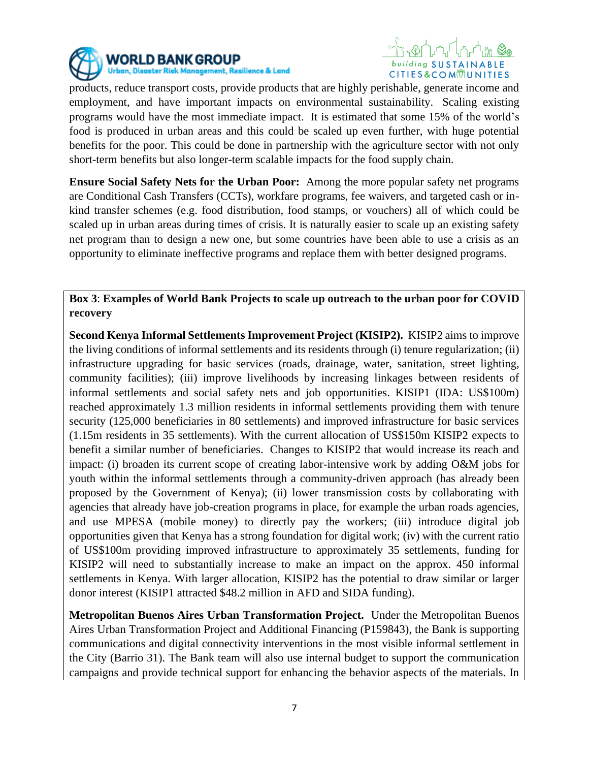



products, reduce transport costs, provide products that are highly perishable, generate income and employment, and have important impacts on environmental sustainability. Scaling existing programs would have the most immediate impact. It is estimated that some 15% of the world's food is produced in urban areas and this could be scaled up even further, with huge potential benefits for the poor. This could be done in partnership with the agriculture sector with not only short-term benefits but also longer-term scalable impacts for the food supply chain.

**Ensure Social Safety Nets for the Urban Poor:** Among the more popular safety net programs are Conditional Cash Transfers (CCTs), workfare programs, fee waivers, and targeted cash or inkind transfer schemes (e.g. food distribution, food stamps, or vouchers) all of which could be scaled up in urban areas during times of crisis. It is naturally easier to scale up an existing safety net program than to design a new one, but some countries have been able to use a crisis as an opportunity to eliminate ineffective programs and replace them with better designed programs.

**Box 3**: **Examples of World Bank Projects to scale up outreach to the urban poor for COVID recovery**

**Second Kenya Informal Settlements Improvement Project (KISIP2).** KISIP2 aims to improve the living conditions of informal settlements and its residents through (i) tenure regularization; (ii) infrastructure upgrading for basic services (roads, drainage, water, sanitation, street lighting, community facilities); (iii) improve livelihoods by increasing linkages between residents of informal settlements and social safety nets and job opportunities. KISIP1 (IDA: US\$100m) reached approximately 1.3 million residents in informal settlements providing them with tenure security (125,000 beneficiaries in 80 settlements) and improved infrastructure for basic services (1.15m residents in 35 settlements). With the current allocation of US\$150m KISIP2 expects to benefit a similar number of beneficiaries. Changes to KISIP2 that would increase its reach and impact: (i) broaden its current scope of creating labor-intensive work by adding O&M jobs for youth within the informal settlements through a community-driven approach (has already been proposed by the Government of Kenya); (ii) lower transmission costs by collaborating with agencies that already have job-creation programs in place, for example the urban roads agencies, and use MPESA (mobile money) to directly pay the workers; (iii) introduce digital job opportunities given that Kenya has a strong foundation for digital work; (iv) with the current ratio of US\$100m providing improved infrastructure to approximately 35 settlements, funding for KISIP2 will need to substantially increase to make an impact on the approx. 450 informal settlements in Kenya. With larger allocation, KISIP2 has the potential to draw similar or larger donor interest (KISIP1 attracted \$48.2 million in AFD and SIDA funding).

**Metropolitan Buenos Aires Urban Transformation Project.** Under the Metropolitan Buenos Aires Urban Transformation Project and Additional Financing (P159843), the Bank is supporting communications and digital connectivity interventions in the most visible informal settlement in the City (Barrio 31). The Bank team will also use internal budget to support the communication campaigns and provide technical support for enhancing the behavior aspects of the materials. In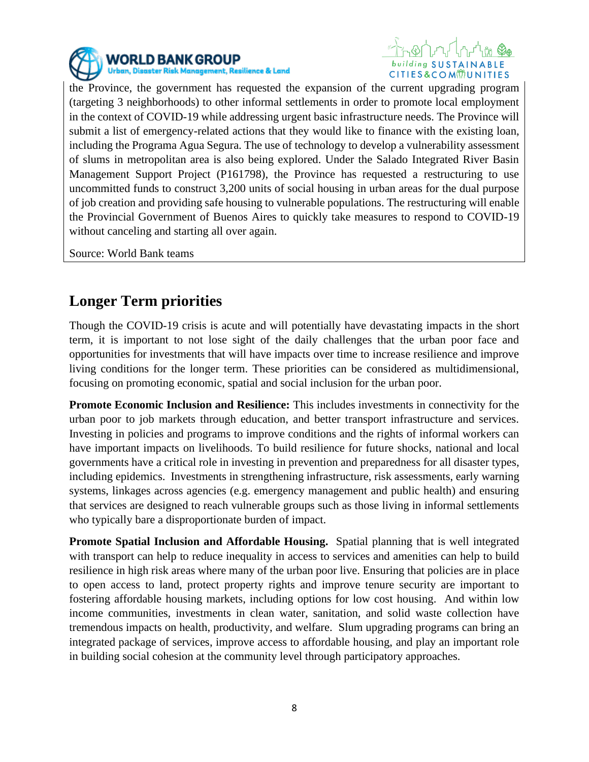



the Province, the government has requested the expansion of the current upgrading program (targeting 3 neighborhoods) to other informal settlements in order to promote local employment in the context of COVID-19 while addressing urgent basic infrastructure needs. The Province will submit a list of emergency-related actions that they would like to finance with the existing loan, including the Programa Agua Segura. The use of technology to develop a vulnerability assessment of slums in metropolitan area is also being explored. Under the Salado Integrated River Basin Management Support Project (P161798), the Province has requested a restructuring to use uncommitted funds to construct 3,200 units of social housing in urban areas for the dual purpose of job creation and providing safe housing to vulnerable populations. The restructuring will enable the Provincial Government of Buenos Aires to quickly take measures to respond to COVID-19 without canceling and starting all over again.

Source: World Bank teams

# **Longer Term priorities**

Though the COVID-19 crisis is acute and will potentially have devastating impacts in the short term, it is important to not lose sight of the daily challenges that the urban poor face and opportunities for investments that will have impacts over time to increase resilience and improve living conditions for the longer term. These priorities can be considered as multidimensional, focusing on promoting economic, spatial and social inclusion for the urban poor.

**Promote Economic Inclusion and Resilience:** This includes investments in connectivity for the urban poor to job markets through education, and better transport infrastructure and services. Investing in policies and programs to improve conditions and the rights of informal workers can have important impacts on livelihoods. To build resilience for future shocks, national and local governments have a critical role in investing in prevention and preparedness for all disaster types, including epidemics. Investments in strengthening infrastructure, risk assessments, early warning systems, linkages across agencies (e.g. emergency management and public health) and ensuring that services are designed to reach vulnerable groups such as those living in informal settlements who typically bare a disproportionate burden of impact.

**Promote Spatial Inclusion and Affordable Housing.**Spatial planning that is well integrated with transport can help to reduce inequality in access to services and amenities can help to build resilience in high risk areas where many of the urban poor live. Ensuring that policies are in place to open access to land, protect property rights and improve tenure security are important to fostering affordable housing markets, including options for low cost housing. And within low income communities, investments in clean water, sanitation, and solid waste collection have tremendous impacts on health, productivity, and welfare. Slum upgrading programs can bring an integrated package of services, improve access to affordable housing, and play an important role in building social cohesion at the community level through participatory approaches.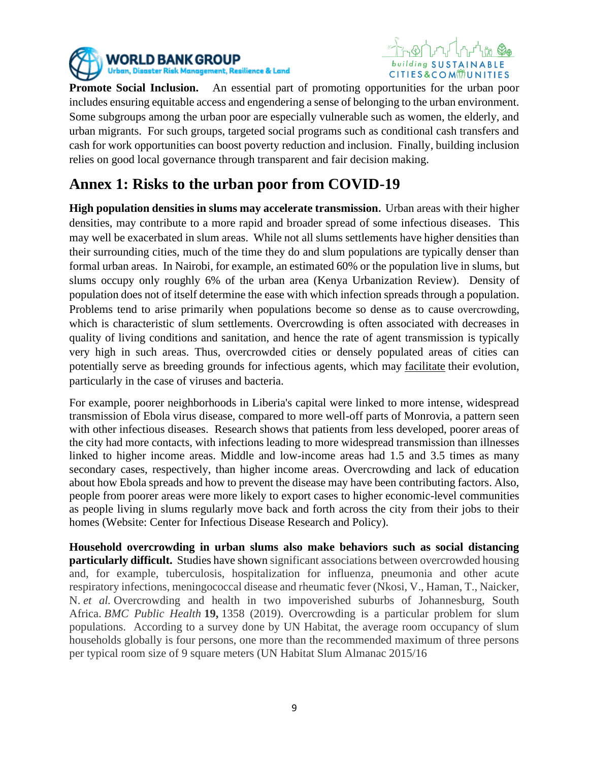



**Promote Social Inclusion.**An essential part of promoting opportunities for the urban poor includes ensuring equitable access and engendering a sense of belonging to the urban environment. Some subgroups among the urban poor are especially vulnerable such as women, the elderly, and urban migrants. For such groups, targeted social programs such as conditional cash transfers and cash for work opportunities can boost poverty reduction and inclusion. Finally, building inclusion relies on good local governance through transparent and fair decision making.

## **Annex 1: Risks to the urban poor from COVID-19**

**High population densities in slums may accelerate transmission.** Urban areas with their higher densities, may contribute to a more rapid and broader spread of some infectious diseases. This may well be exacerbated in slum areas. While not all slums settlements have higher densities than their surrounding cities, much of the time they do and slum populations are typically denser than formal urban areas. In Nairobi, for example, an estimated 60% or the population live in slums, but slums occupy only roughly 6% of the urban area (Kenya Urbanization Review). Density of population does not of itself determine the ease with which infection spreads through a population. Problems tend to arise primarily when populations become so dense as to cause overcrowding, which is characteristic of slum settlements. Overcrowding is often associated with decreases in quality of living conditions and sanitation, and hence the rate of agent transmission is typically very high in such areas. Thus, overcrowded cities or densely populated areas of cities can potentially serve as breeding grounds for infectious agents, which may [facilitate](https://www.merriam-webster.com/dictionary/facilitate) their evolution, particularly in the case of viruses and bacteria.

For example, poorer neighborhoods in Liberia's capital were linked to more intense, widespread transmission of Ebola virus disease, compared to more well-off parts of Monrovia, a pattern seen with other infectious diseases. Research shows that patients from less developed, poorer areas of the city had more contacts, with infections leading to more widespread transmission than illnesses linked to higher income areas. Middle and low-income areas had 1.5 and 3.5 times as many secondary cases, respectively, than higher income areas. Overcrowding and lack of education about how Ebola spreads and how to prevent the disease may have been contributing factors. Also, people from poorer areas were more likely to export cases to higher economic-level communities as people living in slums regularly move back and forth across the city from their jobs to their homes (Website: Center for Infectious Disease Research and Policy).

**Household overcrowding in urban slums also make behaviors such as social distancing particularly difficult.** Studies have shown significant associations between overcrowded housing and, for example, tuberculosis, hospitalization for influenza, pneumonia and other acute respiratory infections, meningococcal disease and rheumatic fever (Nkosi, V., Haman, T., Naicker, N. *et al.* Overcrowding and health in two impoverished suburbs of Johannesburg, South Africa. *BMC Public Health* **19,** 1358 (2019). Overcrowding is a particular problem for slum populations. According to a survey done by UN Habitat, the average room occupancy of slum households globally is four persons, one more than the recommended maximum of three persons per typical room size of 9 square meters (UN Habitat Slum Almanac 2015/16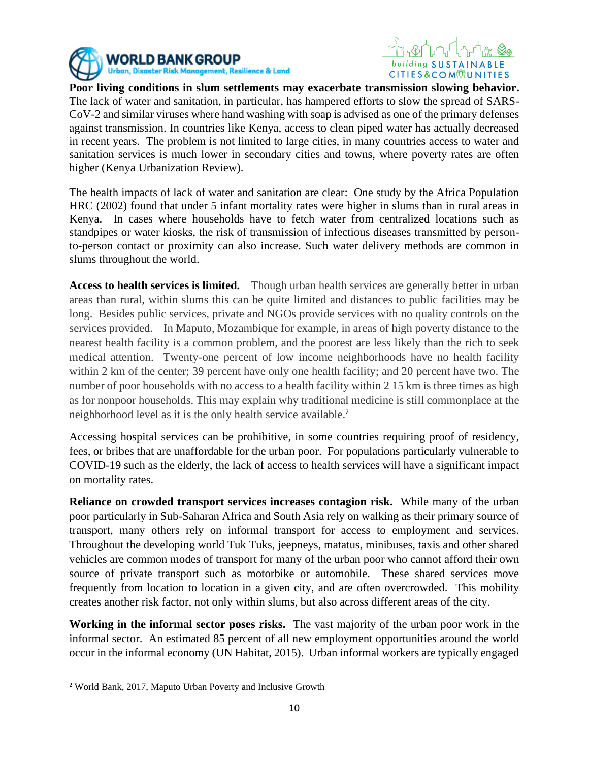





**Poor living conditions in slum settlements may exacerbate transmission slowing behavior.**  The lack of water and sanitation, in particular, has hampered efforts to slow the spread of SARS-CoV-2 and similar viruses where hand washing with soap is advised as one of the primary defenses against transmission. In countries like Kenya, access to clean piped water has actually decreased in recent years. The problem is not limited to large cities, in many countries access to water and sanitation services is much lower in secondary cities and towns, where poverty rates are often higher (Kenya Urbanization Review).

The health impacts of lack of water and sanitation are clear: One study by the Africa Population HRC (2002) found that under 5 infant mortality rates were higher in slums than in rural areas in Kenya. In cases where households have to fetch water from centralized locations such as standpipes or water kiosks, the risk of transmission of infectious diseases transmitted by personto-person contact or proximity can also increase. Such water delivery methods are common in slums throughout the world.

**Access to health services is limited.** Though urban health services are generally better in urban areas than rural, within slums this can be quite limited and distances to public facilities may be long. Besides public services, private and NGOs provide services with no quality controls on the services provided. In Maputo, Mozambique for example, in areas of high poverty distance to the nearest health facility is a common problem, and the poorest are less likely than the rich to seek medical attention. Twenty-one percent of low income neighborhoods have no health facility within 2 km of the center; 39 percent have only one health facility; and 20 percent have two. The number of poor households with no access to a health facility within 2 15 km is three times as high as for nonpoor households. This may explain why traditional medicine is still commonplace at the neighborhood level as it is the only health service available.<sup>2</sup>

Accessing hospital services can be prohibitive, in some countries requiring proof of residency, fees, or bribes that are unaffordable for the urban poor. For populations particularly vulnerable to COVID-19 such as the elderly, the lack of access to health services will have a significant impact on mortality rates.

**Reliance on crowded transport services increases contagion risk.** While many of the urban poor particularly in Sub-Saharan Africa and South Asia rely on walking as their primary source of transport, many others rely on informal transport for access to employment and services. Throughout the developing world Tuk Tuks, jeepneys, matatus, minibuses, taxis and other shared vehicles are common modes of transport for many of the urban poor who cannot afford their own source of private transport such as motorbike or automobile. These shared services move frequently from location to location in a given city, and are often overcrowded. This mobility creates another risk factor, not only within slums, but also across different areas of the city.

**Working in the informal sector poses risks.** The vast majority of the urban poor work in the informal sector. An estimated 85 percent of all new employment opportunities around the world occur in the informal economy (UN Habitat, 2015). Urban informal workers are typically engaged

<sup>2</sup> World Bank, 2017, Maputo Urban Poverty and Inclusive Growth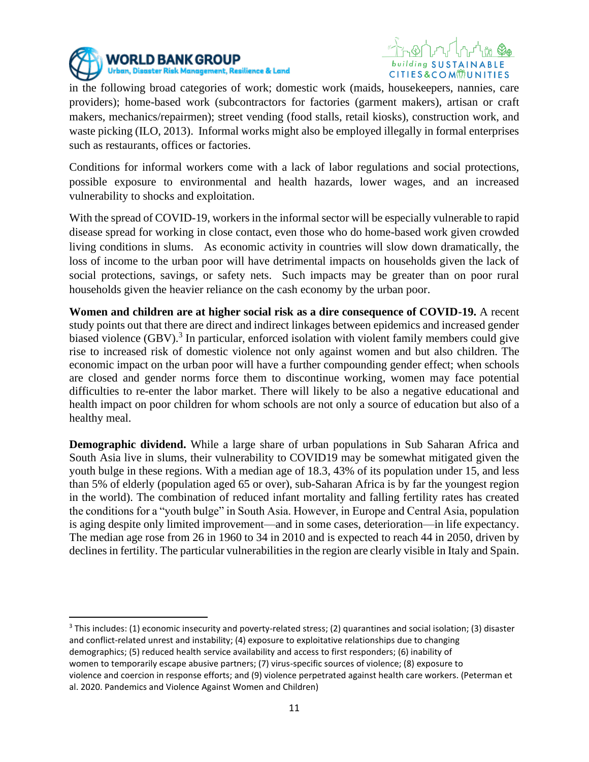



in the following broad categories of work; domestic work (maids, housekeepers, nannies, care providers); home-based work (subcontractors for factories (garment makers), artisan or craft makers, mechanics/repairmen); street vending (food stalls, retail kiosks), construction work, and waste picking (ILO, 2013). Informal works might also be employed illegally in formal enterprises such as restaurants, offices or factories.

Conditions for informal workers come with a lack of labor regulations and social protections, possible exposure to environmental and health hazards, lower wages, and an increased vulnerability to shocks and exploitation.

With the spread of COVID-19, workers in the informal sector will be especially vulnerable to rapid disease spread for working in close contact, even those who do home-based work given crowded living conditions in slums. As economic activity in countries will slow down dramatically, the loss of income to the urban poor will have detrimental impacts on households given the lack of social protections, savings, or safety nets. Such impacts may be greater than on poor rural households given the heavier reliance on the cash economy by the urban poor.

**Women and children are at higher social risk as a dire consequence of COVID-19.** A recent study points out that there are direct and indirect linkages between epidemics and increased gender biased violence  $(GBV)$ .<sup>3</sup> In particular, enforced isolation with violent family members could give rise to increased risk of domestic violence not only against women and but also children. The economic impact on the urban poor will have a further compounding gender effect; when schools are closed and gender norms force them to discontinue working, women may face potential difficulties to re-enter the labor market. There will likely to be also a negative educational and health impact on poor children for whom schools are not only a source of education but also of a healthy meal.

**Demographic dividend.** While a large share of urban populations in Sub Saharan Africa and South Asia live in slums, their vulnerability to COVID19 may be somewhat mitigated given the youth bulge in these regions. With a median age of 18.3, 43% of its population under 15, and less than 5% of elderly (population aged 65 or over), sub-Saharan Africa is by far the youngest region in the world). The combination of reduced infant mortality and falling fertility rates has created the conditions for a "youth bulge" in South Asia. However, in Europe and Central Asia, population is aging despite only limited improvement—and in some cases, deterioration—in life expectancy. The median age rose from 26 in 1960 to 34 in 2010 and is expected to reach 44 in 2050, driven by declines in fertility. The particular vulnerabilities in the region are clearly visible in Italy and Spain.

<sup>&</sup>lt;sup>3</sup> This includes: (1) economic insecurity and poverty-related stress; (2) quarantines and social isolation; (3) disaster and conflict-related unrest and instability; (4) exposure to exploitative relationships due to changing demographics; (5) reduced health service availability and access to first responders; (6) inability of women to temporarily escape abusive partners; (7) virus-specific sources of violence; (8) exposure to violence and coercion in response efforts; and (9) violence perpetrated against health care workers. (Peterman et al. 2020. Pandemics and Violence Against Women and Children)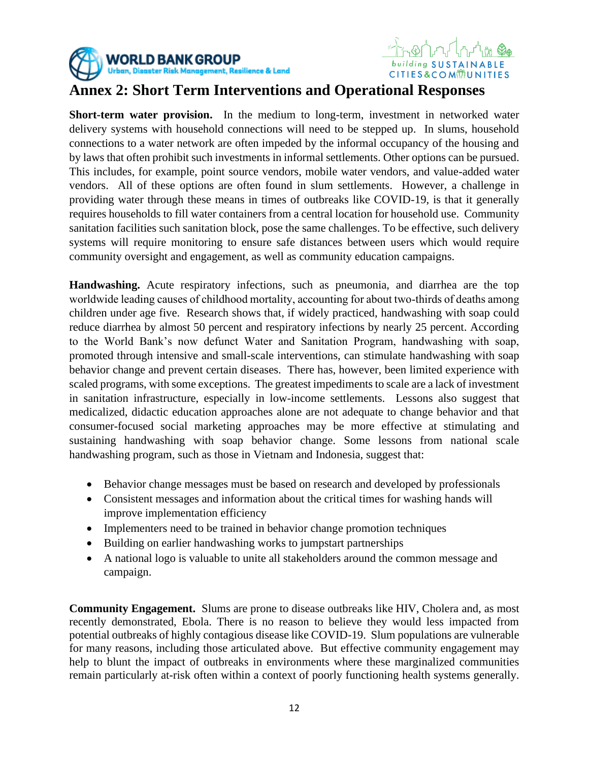



### **Annex 2: Short Term Interventions and Operational Responses**

**Short-term water provision.** In the medium to long-term, investment in networked water delivery systems with household connections will need to be stepped up. In slums, household connections to a water network are often impeded by the informal occupancy of the housing and by laws that often prohibit such investments in informal settlements. Other options can be pursued. This includes, for example, point source vendors, mobile water vendors, and value-added water vendors. All of these options are often found in slum settlements. However, a challenge in providing water through these means in times of outbreaks like COVID-19, is that it generally requires households to fill water containers from a central location for household use. Community sanitation facilities such sanitation block, pose the same challenges. To be effective, such delivery systems will require monitoring to ensure safe distances between users which would require community oversight and engagement, as well as community education campaigns.

**Handwashing.** Acute respiratory infections, such as pneumonia, and diarrhea are the top worldwide leading causes of childhood mortality, accounting for about two-thirds of deaths among children under age five. Research shows that, if widely practiced, handwashing with soap could reduce diarrhea by almost 50 percent and respiratory infections by nearly 25 percent. According to the World Bank's now defunct Water and Sanitation Program, handwashing with soap, promoted through intensive and small-scale interventions, can stimulate handwashing with soap behavior change and prevent certain diseases. There has, however, been limited experience with scaled programs, with some exceptions. The greatest impediments to scale are a lack of investment in sanitation infrastructure, especially in low-income settlements. Lessons also suggest that medicalized, didactic education approaches alone are not adequate to change behavior and that consumer-focused social marketing approaches may be more effective at stimulating and sustaining handwashing with soap behavior change. Some lessons from national scale handwashing program, such as those in Vietnam and Indonesia, suggest that:

- Behavior change messages must be based on research and developed by professionals
- Consistent messages and information about the critical times for washing hands will improve implementation efficiency
- Implementers need to be trained in behavior change promotion techniques
- Building on earlier handwashing works to jumpstart partnerships
- A national logo is valuable to unite all stakeholders around the common message and campaign.

**Community Engagement.** Slums are prone to disease outbreaks like HIV, Cholera and, as most recently demonstrated, Ebola. There is no reason to believe they would less impacted from potential outbreaks of highly contagious disease like COVID-19. Slum populations are vulnerable for many reasons, including those articulated above. But effective community engagement may help to blunt the impact of outbreaks in environments where these marginalized communities remain particularly at-risk often within a context of poorly functioning health systems generally.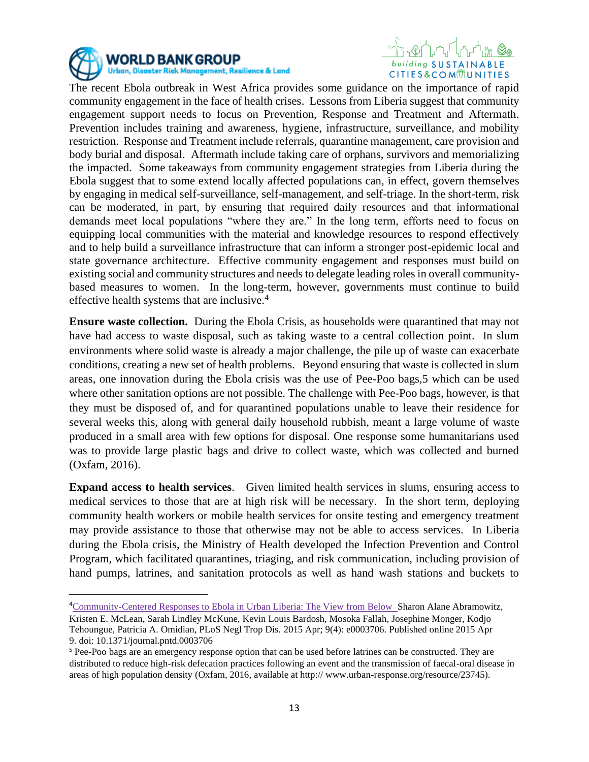



The recent Ebola outbreak in West Africa provides some guidance on the importance of rapid community engagement in the face of health crises. Lessons from Liberia suggest that community engagement support needs to focus on Prevention, Response and Treatment and Aftermath. Prevention includes training and awareness, hygiene, infrastructure, surveillance, and mobility restriction. Response and Treatment include referrals, quarantine management, care provision and body burial and disposal. Aftermath include taking care of orphans, survivors and memorializing the impacted. Some takeaways from community engagement strategies from Liberia during the Ebola suggest that to some extend locally affected populations can, in effect, govern themselves by engaging in medical self-surveillance, self-management, and self-triage. In the short-term, risk can be moderated, in part, by ensuring that required daily resources and that informational demands meet local populations "where they are." In the long term, efforts need to focus on equipping local communities with the material and knowledge resources to respond effectively and to help build a surveillance infrastructure that can inform a stronger post-epidemic local and state governance architecture. Effective community engagement and responses must build on existing social and community structures and needs to delegate leading roles in overall communitybased measures to women. In the long-term, however, governments must continue to build effective health systems that are inclusive.<sup>4</sup>

**Ensure waste collection.** During the Ebola Crisis, as households were quarantined that may not have had access to waste disposal, such as taking waste to a central collection point. In slum environments where solid waste is already a major challenge, the pile up of waste can exacerbate conditions, creating a new set of health problems. Beyond ensuring that waste is collected in slum areas, one innovation during the Ebola crisis was the use of Pee-Poo bags,5 which can be used where other sanitation options are not possible. The challenge with Pee-Poo bags, however, is that they must be disposed of, and for quarantined populations unable to leave their residence for several weeks this, along with general daily household rubbish, meant a large volume of waste produced in a small area with few options for disposal. One response some humanitarians used was to provide large plastic bags and drive to collect waste, which was collected and burned (Oxfam, 2016).

**Expand access to health services**. Given limited health services in slums, ensuring access to medical services to those that are at high risk will be necessary. In the short term, deploying community health workers or mobile health services for onsite testing and emergency treatment may provide assistance to those that otherwise may not be able to access services. In Liberia during the Ebola crisis, the Ministry of Health developed the Infection Prevention and Control Program, which facilitated quarantines, triaging, and risk communication, including provision of hand pumps, latrines, and sanitation protocols as well as hand wash stations and buckets to

<sup>4</sup>[Community-Centered Responses to Ebola in Urban Liberia: The View from Below](https://www.ncbi.nlm.nih.gov/pmc/articles/PMC4391876/) Sharon Alane Abramowitz,

Kristen E. McLean, Sarah Lindley McKune, Kevin Louis Bardosh, Mosoka Fallah, Josephine Monger, Kodjo Tehoungue, Patricia A. Omidian, PLoS Negl Trop Dis. 2015 Apr; 9(4): e0003706. Published online 2015 Apr 9. doi: 10.1371/journal.pntd.0003706

<sup>5</sup> Pee-Poo bags are an emergency response option that can be used before latrines can be constructed. They are distributed to reduce high-risk defecation practices following an event and the transmission of faecal-oral disease in areas of high population density (Oxfam, 2016, available at http:// www.urban-response.org/resource/23745).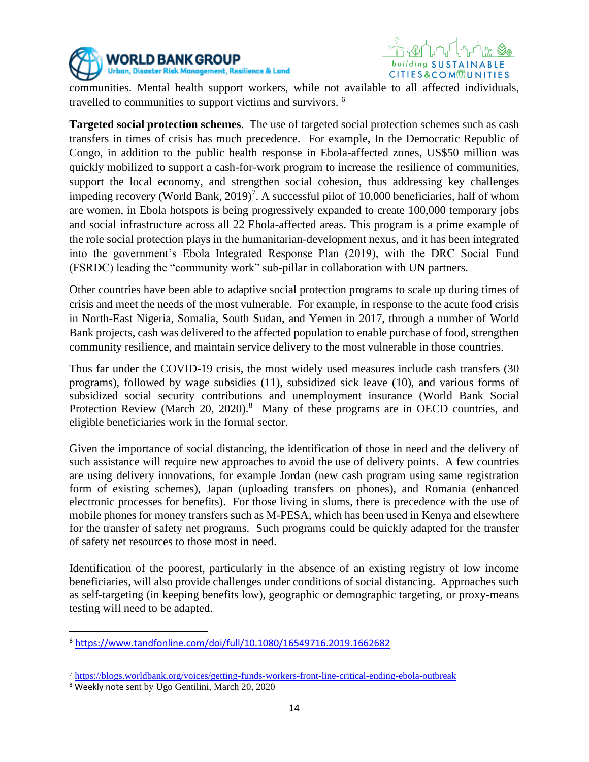



communities. Mental health support workers, while not available to all affected individuals, travelled to communities to support victims and survivors. <sup>6</sup>

**Targeted social protection schemes**. The use of targeted social protection schemes such as cash transfers in times of crisis has much precedence. For example, In the Democratic Republic of Congo, in addition to the public health response in Ebola-affected zones, US\$50 million was quickly mobilized to support a cash-for-work program to increase the resilience of communities, support the local economy, and strengthen social cohesion, thus addressing key challenges impeding recovery (World Bank, 2019)<sup>7</sup>. A successful pilot of 10,000 beneficiaries, half of whom are women, in Ebola hotspots is being progressively expanded to create 100,000 temporary jobs and social infrastructure across all 22 Ebola-affected areas. This program is a prime example of the role social protection plays in the humanitarian-development nexus, and it has been integrated into the government's Ebola Integrated Response Plan (2019), with the DRC Social Fund (FSRDC) leading the "community work" sub-pillar in collaboration with UN partners.

Other countries have been able to adaptive social protection programs to scale up during times of crisis and meet the needs of the most vulnerable. For example, in response to the acute food crisis in North-East Nigeria, Somalia, South Sudan, and Yemen in 2017, through a number of World Bank projects, cash was delivered to the affected population to enable purchase of food, strengthen community resilience, and maintain service delivery to the most vulnerable in those countries.

Thus far under the COVID-19 crisis, the most widely used measures include cash transfers (30 programs), followed by wage subsidies (11), subsidized sick leave (10), and various forms of subsidized social security contributions and unemployment insurance (World Bank Social Protection Review (March 20, 2020).<sup>8</sup> Many of these programs are in OECD countries, and eligible beneficiaries work in the formal sector.

Given the importance of social distancing, the identification of those in need and the delivery of such assistance will require new approaches to avoid the use of delivery points. A few countries are using delivery innovations, for example Jordan (new cash program using same registration form of existing schemes), Japan (uploading transfers on phones), and Romania (enhanced electronic processes for benefits). For those living in slums, there is precedence with the use of mobile phones for money transfers such as M-PESA, which has been used in Kenya and elsewhere for the transfer of safety net programs. Such programs could be quickly adapted for the transfer of safety net resources to those most in need.

Identification of the poorest, particularly in the absence of an existing registry of low income beneficiaries, will also provide challenges under conditions of social distancing. Approaches such as self-targeting (in keeping benefits low), geographic or demographic targeting, or proxy-means testing will need to be adapted.

<sup>6</sup> <https://www.tandfonline.com/doi/full/10.1080/16549716.2019.1662682>

<sup>7</sup> <https://blogs.worldbank.org/voices/getting-funds-workers-front-line-critical-ending-ebola-outbreak>

<sup>8</sup> Weekly note sent by Ugo Gentilini, March 20, 2020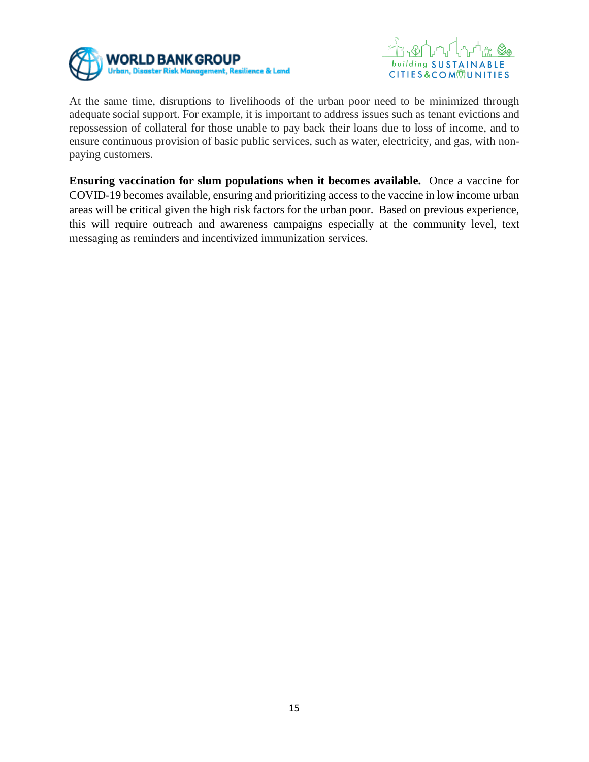



At the same time, disruptions to livelihoods of the urban poor need to be minimized through adequate social support. For example, it is important to address issues such as tenant evictions and repossession of collateral for those unable to pay back their loans due to loss of income, and to ensure continuous provision of basic public services, such as water, electricity, and gas, with nonpaying customers.

**Ensuring vaccination for slum populations when it becomes available.** Once a vaccine for COVID-19 becomes available, ensuring and prioritizing access to the vaccine in low income urban areas will be critical given the high risk factors for the urban poor. Based on previous experience, this will require outreach and awareness campaigns especially at the community level, text messaging as reminders and incentivized immunization services.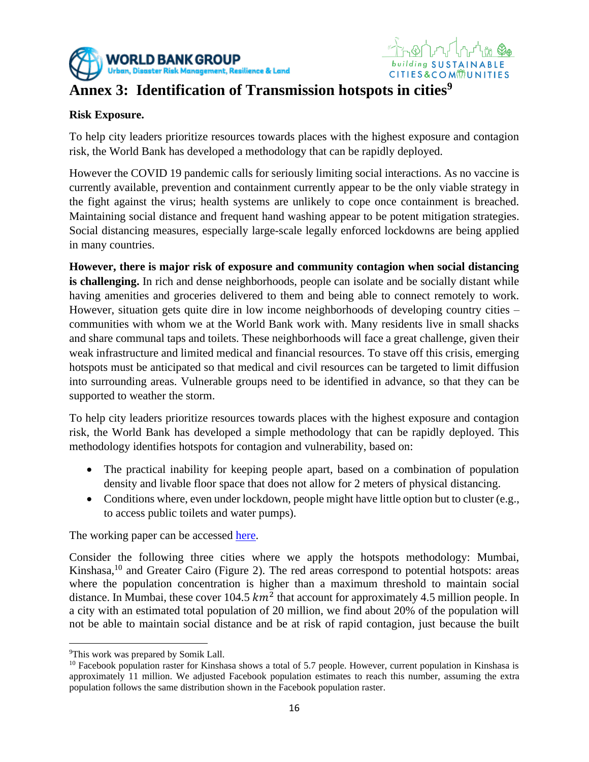

## **Annex 3: Identification of Transmission hotspots in cities<sup>9</sup>**

#### **Risk Exposure.**

To help city leaders prioritize resources towards places with the highest exposure and contagion risk, the World Bank has developed a methodology that can be rapidly deployed.

building SUSTAIN

**CITIES&COMMUNITIES** 

However the COVID 19 pandemic calls for seriously limiting social interactions. As no vaccine is currently available, prevention and containment currently appear to be the only viable strategy in the fight against the virus; health systems are unlikely to cope once containment is breached. Maintaining social distance and frequent hand washing appear to be potent mitigation strategies. Social distancing measures, especially large-scale legally enforced lockdowns are being applied in many countries.

**However, there is major risk of exposure and community contagion when social distancing is challenging.** In rich and dense neighborhoods, people can isolate and be socially distant while having amenities and groceries delivered to them and being able to connect remotely to work. However, situation gets quite dire in low income neighborhoods of developing country cities – communities with whom we at the World Bank work with. Many residents live in small shacks and share communal taps and toilets. These neighborhoods will face a great challenge, given their weak infrastructure and limited medical and financial resources. To stave off this crisis, emerging hotspots must be anticipated so that medical and civil resources can be targeted to limit diffusion into surrounding areas. Vulnerable groups need to be identified in advance, so that they can be supported to weather the storm.

To help city leaders prioritize resources towards places with the highest exposure and contagion risk, the World Bank has developed a simple methodology that can be rapidly deployed. This methodology identifies hotspots for contagion and vulnerability, based on:

- The practical inability for keeping people apart, based on a combination of population density and livable floor space that does not allow for 2 meters of physical distancing.
- Conditions where, even under lockdown, people might have little option but to cluster (e.g., to access public toilets and water pumps).

The working paper can be accessed [here.](http://documents.worldbank.org/curated/en/206541587590439082/pdf/Cities-Crowding-and-the-Coronavirus-Predicting-Contagion-Risk-Hotspots.pdf)

Consider the following three cities where we apply the hotspots methodology: Mumbai, Kinshasa,  $^{10}$  and Greater Cairo (Figure 2). The red areas correspond to potential hotspots: areas where the population concentration is higher than a maximum threshold to maintain social distance. In Mumbai, these cover 104.5  $km^2$  that account for approximately 4.5 million people. In a city with an estimated total population of 20 million, we find about 20% of the population will not be able to maintain social distance and be at risk of rapid contagion, just because the built

<sup>&</sup>lt;sup>9</sup>This work was prepared by Somik Lall.

<sup>&</sup>lt;sup>10</sup> Facebook population raster for Kinshasa shows a total of 5.7 people. However, current population in Kinshasa is approximately 11 million. We adjusted Facebook population estimates to reach this number, assuming the extra population follows the same distribution shown in the Facebook population raster.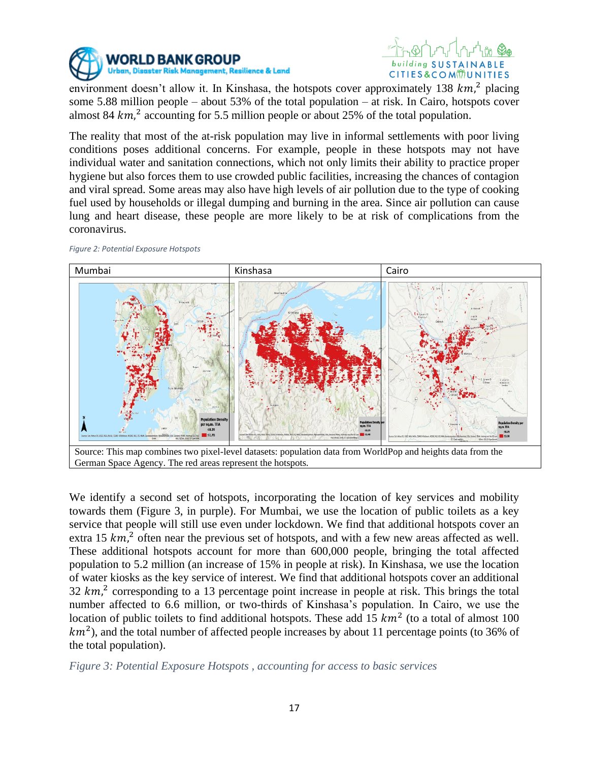



environment doesn't allow it. In Kinshasa, the hotspots cover approximately 138  $km$ ,<sup>2</sup> placing some 5.88 million people – about 53% of the total population – at risk. In Cairo, hotspots cover almost 84  $km$ ,<sup>2</sup> accounting for 5.5 million people or about 25% of the total population.

The reality that most of the at-risk population may live in informal settlements with poor living conditions poses additional concerns. For example, people in these hotspots may not have individual water and sanitation connections, which not only limits their ability to practice proper hygiene but also forces them to use crowded public facilities, increasing the chances of contagion and viral spread. Some areas may also have high levels of air pollution due to the type of cooking fuel used by households or illegal dumping and burning in the area. Since air pollution can cause lung and heart disease, these people are more likely to be at risk of complications from the coronavirus.



*Figure 2: Potential Exposure Hotspots* 

We identify a second set of hotspots, incorporating the location of key services and mobility towards them (Figure 3, in purple). For Mumbai, we use the location of public toilets as a key service that people will still use even under lockdown. We find that additional hotspots cover an extra 15  $km$ ,<sup>2</sup> often near the previous set of hotspots, and with a few new areas affected as well. These additional hotspots account for more than 600,000 people, bringing the total affected population to 5.2 million (an increase of 15% in people at risk). In Kinshasa, we use the location of water kiosks as the key service of interest. We find that additional hotspots cover an additional 32  $km<sup>2</sup>$  corresponding to a 13 percentage point increase in people at risk. This brings the total number affected to 6.6 million, or two-thirds of Kinshasa's population. In Cairo, we use the location of public toilets to find additional hotspots. These add 15  $km^2$  (to a total of almost 100  $km<sup>2</sup>$ ), and the total number of affected people increases by about 11 percentage points (to 36% of the total population).

*Figure 3: Potential Exposure Hotspots , accounting for access to basic services*